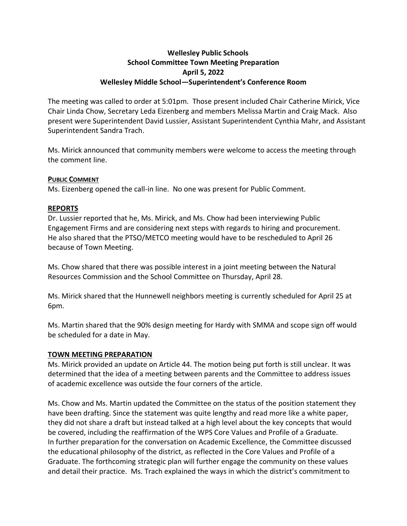# **Wellesley Public Schools School Committee Town Meeting Preparation April 5, 2022 Wellesley Middle School—Superintendent's Conference Room**

The meeting was called to order at 5:01pm. Those present included Chair Catherine Mirick, Vice Chair Linda Chow, Secretary Leda Eizenberg and members Melissa Martin and Craig Mack. Also present were Superintendent David Lussier, Assistant Superintendent Cynthia Mahr, and Assistant Superintendent Sandra Trach.

Ms. Mirick announced that community members were welcome to access the meeting through the comment line.

## **PUBLIC COMMENT**

Ms. Eizenberg opened the call-in line. No one was present for Public Comment.

## **REPORTS**

Dr. Lussier reported that he, Ms. Mirick, and Ms. Chow had been interviewing Public Engagement Firms and are considering next steps with regards to hiring and procurement. He also shared that the PTSO/METCO meeting would have to be rescheduled to April 26 because of Town Meeting.

Ms. Chow shared that there was possible interest in a joint meeting between the Natural Resources Commission and the School Committee on Thursday, April 28.

Ms. Mirick shared that the Hunnewell neighbors meeting is currently scheduled for April 25 at 6pm.

Ms. Martin shared that the 90% design meeting for Hardy with SMMA and scope sign off would be scheduled for a date in May.

#### **TOWN MEETING PREPARATION**

Ms. Mirick provided an update on Article 44. The motion being put forth is still unclear. It was determined that the idea of a meeting between parents and the Committee to address issues of academic excellence was outside the four corners of the article.

Ms. Chow and Ms. Martin updated the Committee on the status of the position statement they have been drafting. Since the statement was quite lengthy and read more like a white paper, they did not share a draft but instead talked at a high level about the key concepts that would be covered, including the reaffirmation of the WPS Core Values and Profile of a Graduate. In further preparation for the conversation on Academic Excellence, the Committee discussed the educational philosophy of the district, as reflected in the Core Values and Profile of a Graduate. The forthcoming strategic plan will further engage the community on these values and detail their practice. Ms. Trach explained the ways in which the district's commitment to